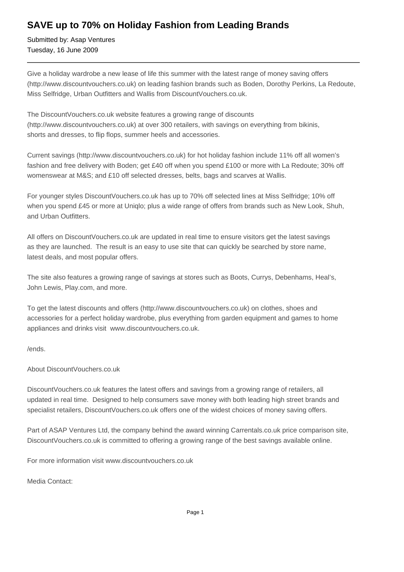## **SAVE up to 70% on Holiday Fashion from Leading Brands**

Submitted by: Asap Ventures Tuesday, 16 June 2009

Give a holiday wardrobe a new lease of life this summer with the latest range of money saving offers (http://www.discountvouchers.co.uk) on leading fashion brands such as Boden, Dorothy Perkins, La Redoute, Miss Selfridge, Urban Outfitters and Wallis from DiscountVouchers.co.uk.

The DiscountVouchers.co.uk website features a growing range of discounts (http://www.discountvouchers.co.uk) at over 300 retailers, with savings on everything from bikinis, shorts and dresses, to flip flops, summer heels and accessories.

Current savings (http://www.discountvouchers.co.uk) for hot holiday fashion include 11% off all women's fashion and free delivery with Boden; get £40 off when you spend £100 or more with La Redoute; 30% off womenswear at M&S; and £10 off selected dresses, belts, bags and scarves at Wallis.

For younger styles DiscountVouchers.co.uk has up to 70% off selected lines at Miss Selfridge; 10% off when you spend £45 or more at Uniqlo; plus a wide range of offers from brands such as New Look, Shuh, and Urban Outfitters.

All offers on DiscountVouchers.co.uk are updated in real time to ensure visitors get the latest savings as they are launched. The result is an easy to use site that can quickly be searched by store name, latest deals, and most popular offers.

The site also features a growing range of savings at stores such as Boots, Currys, Debenhams, Heal's, John Lewis, Play.com, and more.

To get the latest discounts and offers (http://www.discountvouchers.co.uk) on clothes, shoes and accessories for a perfect holiday wardrobe, plus everything from garden equipment and games to home appliances and drinks visit www.discountvouchers.co.uk.

/ends.

About DiscountVouchers.co.uk

DiscountVouchers.co.uk features the latest offers and savings from a growing range of retailers, all updated in real time. Designed to help consumers save money with both leading high street brands and specialist retailers, DiscountVouchers.co.uk offers one of the widest choices of money saving offers.

Part of ASAP Ventures Ltd, the company behind the award winning Carrentals.co.uk price comparison site, DiscountVouchers.co.uk is committed to offering a growing range of the best savings available online.

For more information visit www.discountvouchers.co.uk

Media Contact: